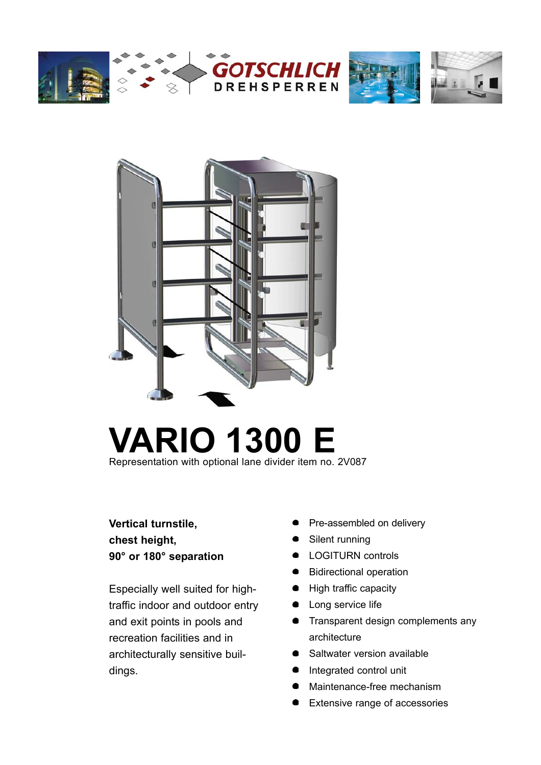







# **VARIO 1300 E** Representation with optional lane divider item no. 2V087

**Vertical turnstile, chest height, 90° or 180° separation**

Especially well suited for hightraffic indoor and outdoor entry and exit points in pools and recreation facilities and in architecturally sensitive buildings.

- Pre-assembled on delivery
- Silent running
- **•** LOGITURN controls
- **Bidirectional operation**
- High traffic capacity
- Long service life
- **•** Transparent design complements any architecture
- Saltwater version available
- $\bullet$ Integrated control unit
- Maintenance-free mechanism
- Extensive range of accessories  $\bullet$